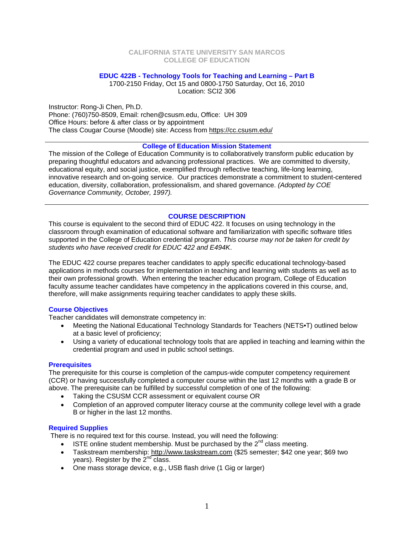## **CALIFORNIA STATE UNIVERSITY SAN MARCOS COLLEGE OF EDUCATION**

# **EDUC 422B - Technology Tools for Teaching and Learning – Part B**

1700-2150 Friday, Oct 15 and 0800-1750 Saturday, Oct 16, 2010 Location: SCI2 306

Instructor: Rong-Ji Chen, Ph.D. Phone: (760)750-8509, Email: rchen@csusm.edu, Office: UH 309 Office Hours: before & after class or by appointment The class Cougar Course (Moodle) site: Access from https://cc.csusm.edu/

# **College of Education Mission Statement**

The mission of the College of Education Community is to collaboratively transform public education by preparing thoughtful educators and advancing professional practices. We are committed to diversity, educational equity, and social justice, exemplified through reflective teaching, life-long learning, innovative research and on-going service. Our practices demonstrate a commitment to student-centered education, diversity, collaboration, professionalism, and shared governance. *(Adopted by COE Governance Community, October, 1997).* 

## **COURSE DESCRIPTION**

This course is equivalent to the second third of EDUC 422. It focuses on using technology in the classroom through examination of educational software and familiarization with specific software titles supported in the College of Education credential program. *This course may not be taken for credit by students who have received credit for EDUC 422 and E494K*.

The EDUC 422 course prepares teacher candidates to apply specific educational technology-based applications in methods courses for implementation in teaching and learning with students as well as to their own professional growth. When entering the teacher education program, College of Education faculty assume teacher candidates have competency in the applications covered in this course, and, therefore, will make assignments requiring teacher candidates to apply these skills.

## **Course Objectives**

Teacher candidates will demonstrate competency in:

- Meeting the National Educational Technology Standards for Teachers (NETS•T) outlined below at a basic level of proficiency;
- Using a variety of educational technology tools that are applied in teaching and learning within the credential program and used in public school settings.

## **Prerequisites**

The prerequisite for this course is completion of the campus-wide computer competency requirement (CCR) or having successfully completed a computer course within the last 12 months with a grade B or above. The prerequisite can be fulfilled by successful completion of one of the following:

- Taking the CSUSM CCR assessment or equivalent course OR
- Completion of an approved computer literacy course at the community college level with a grade B or higher in the last 12 months.

## **Required Supplies**

There is no required text for this course. Instead, you will need the following:

- ISTE online student membership. Must be purchased by the  $2^{nd}$  class meeting.
- Taskstream membership: http://www.taskstream.com (\$25 semester; \$42 one year; \$69 two years). Register by the  $2^{nd}$  class.
- One mass storage device, e.g., USB flash drive (1 Gig or larger)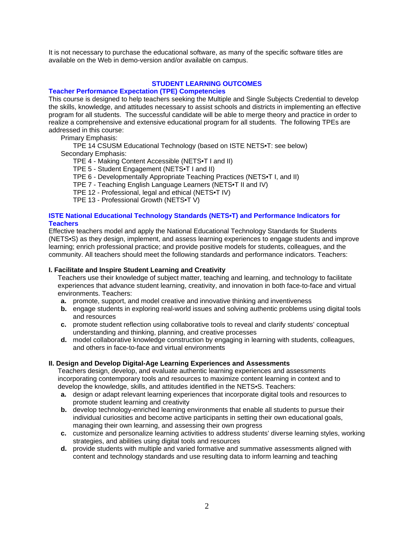It is not necessary to purchase the educational software, as many of the specific software titles are available on the Web in demo-version and/or available on campus.

## **STUDENT LEARNING OUTCOMES**

## **Teacher Performance Expectation (TPE) Competencies**

This course is designed to help teachers seeking the Multiple and Single Subjects Credential to develop the skills, knowledge, and attitudes necessary to assist schools and districts in implementing an effective program for all students. The successful candidate will be able to merge theory and practice in order to realize a comprehensive and extensive educational program for all students. The following TPEs are addressed in this course:

Primary Emphasis:

TPE 14 CSUSM Educational Technology (based on ISTE NETS•T: see below) Secondary Emphasis:

TPE 4 - Making Content Accessible (NETS•T I and II)

TPE 5 - Student Engagement (NETS•T I and II)

TPE 6 - Developmentally Appropriate Teaching Practices (NETS•T I, and II)

TPE 7 - Teaching English Language Learners (NETS•T II and IV)

TPE 12 - Professional, legal and ethical (NETS•T IV)

TPE 13 - Professional Growth (NETS•T V)

## **ISTE National Educational Technology Standards (NETS•T) and Performance Indicators for Teachers**

Effective teachers model and apply the National Educational Technology Standards for Students (NETS•S) as they design, implement, and assess learning experiences to engage students and improve learning; enrich professional practice; and provide positive models for students, colleagues, and the community. All teachers should meet the following standards and performance indicators. Teachers:

#### **I. Facilitate and Inspire Student Learning and Creativity**

Teachers use their knowledge of subject matter, teaching and learning, and technology to facilitate experiences that advance student learning, creativity, and innovation in both face-to-face and virtual environments. Teachers:

- **a.** promote, support, and model creative and innovative thinking and inventiveness
- **b.** engage students in exploring real-world issues and solving authentic problems using digital tools and resources
- **c.** promote student reflection using collaborative tools to reveal and clarify students' conceptual understanding and thinking, planning, and creative processes
- **d.** model collaborative knowledge construction by engaging in learning with students, colleagues, and others in face-to-face and virtual environments

## **II. Design and Develop Digital-Age Learning Experiences and Assessments**

Teachers design, develop, and evaluate authentic learning experiences and assessments incorporating contemporary tools and resources to maximize content learning in context and to develop the knowledge, skills, and attitudes identified in the NETS•S. Teachers:

- **a.** design or adapt relevant learning experiences that incorporate digital tools and resources to promote student learning and creativity
- **b.** develop technology-enriched learning environments that enable all students to pursue their individual curiosities and become active participants in setting their own educational goals, managing their own learning, and assessing their own progress
- **c.** customize and personalize learning activities to address students' diverse learning styles, working strategies, and abilities using digital tools and resources
- **d.** provide students with multiple and varied formative and summative assessments aligned with content and technology standards and use resulting data to inform learning and teaching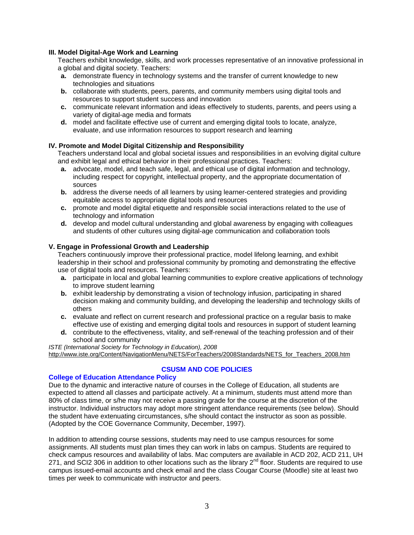## **III. Model Digital-Age Work and Learning**

Teachers exhibit knowledge, skills, and work processes representative of an innovative professional in a global and digital society. Teachers:

- **a.** demonstrate fluency in technology systems and the transfer of current knowledge to new technologies and situations
- **b.** collaborate with students, peers, parents, and community members using digital tools and resources to support student success and innovation
- **c.** communicate relevant information and ideas effectively to students, parents, and peers using a variety of digital-age media and formats
- **d.** model and facilitate effective use of current and emerging digital tools to locate, analyze, evaluate, and use information resources to support research and learning

## **IV. Promote and Model Digital Citizenship and Responsibility**

Teachers understand local and global societal issues and responsibilities in an evolving digital culture and exhibit legal and ethical behavior in their professional practices. Teachers:

- **a.** advocate, model, and teach safe, legal, and ethical use of digital information and technology, including respect for copyright, intellectual property, and the appropriate documentation of sources
- **b.** address the diverse needs of all learners by using learner-centered strategies and providing equitable access to appropriate digital tools and resources
- **c.** promote and model digital etiquette and responsible social interactions related to the use of technology and information
- **d.** develop and model cultural understanding and global awareness by engaging with colleagues and students of other cultures using digital-age communication and collaboration tools

## **V. Engage in Professional Growth and Leadership**

Teachers continuously improve their professional practice, model lifelong learning, and exhibit leadership in their school and professional community by promoting and demonstrating the effective use of digital tools and resources. Teachers:

- **a.** participate in local and global learning communities to explore creative applications of technology to improve student learning
- **b.** exhibit leadership by demonstrating a vision of technology infusion, participating in shared decision making and community building, and developing the leadership and technology skills of others
- **c.** evaluate and reflect on current research and professional practice on a regular basis to make effective use of existing and emerging digital tools and resources in support of student learning
- **d.** contribute to the effectiveness, vitality, and self-renewal of the teaching profession and of their school and community

*ISTE (International Society for Technology in Education), 2008*  http://www.iste.org/Content/NavigationMenu/NETS/ForTeachers/2008Standards/NETS\_for\_Teachers\_2008.htm

# **CSUSM AND COE POLICIES**

## **College of Education Attendance Policy**

Due to the dynamic and interactive nature of courses in the College of Education, all students are expected to attend all classes and participate actively. At a minimum, students must attend more than 80% of class time, or s/he may not receive a passing grade for the course at the discretion of the instructor. Individual instructors may adopt more stringent attendance requirements (see below). Should the student have extenuating circumstances, s/he should contact the instructor as soon as possible. (Adopted by the COE Governance Community, December, 1997).

In addition to attending course sessions, students may need to use campus resources for some assignments. All students must plan times they can work in labs on campus. Students are required to check campus resources and availability of labs. Mac computers are available in ACD 202, ACD 211, UH 271, and SCI2 306 in addition to other locations such as the library  $2^{nd}$  floor. Students are required to use campus issued-email accounts and check email and the class Cougar Course (Moodle) site at least two times per week to communicate with instructor and peers.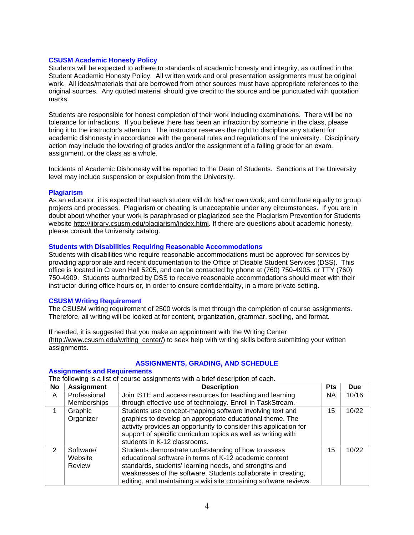#### **CSUSM Academic Honesty Policy**

Students will be expected to adhere to standards of academic honesty and integrity, as outlined in the Student Academic Honesty Policy. All written work and oral presentation assignments must be original work. All ideas/materials that are borrowed from other sources must have appropriate references to the original sources. Any quoted material should give credit to the source and be punctuated with quotation marks.

Students are responsible for honest completion of their work including examinations. There will be no tolerance for infractions. If you believe there has been an infraction by someone in the class, please bring it to the instructor's attention. The instructor reserves the right to discipline any student for academic dishonesty in accordance with the general rules and regulations of the university. Disciplinary action may include the lowering of grades and/or the assignment of a failing grade for an exam, assignment, or the class as a whole.

Incidents of Academic Dishonesty will be reported to the Dean of Students. Sanctions at the University level may include suspension or expulsion from the University.

#### **Plagiarism**

As an educator, it is expected that each student will do his/her own work, and contribute equally to group projects and processes. Plagiarism or cheating is unacceptable under any circumstances. If you are in doubt about whether your work is paraphrased or plagiarized see the Plagiarism Prevention for Students website http://library.csusm.edu/plagiarism/index.html. If there are questions about academic honesty, please consult the University catalog.

## **Students with Disabilities Requiring Reasonable Accommodations**

Students with disabilities who require reasonable accommodations must be approved for services by providing appropriate and recent documentation to the Office of Disable Student Services (DSS). This office is located in Craven Hall 5205, and can be contacted by phone at (760) 750-4905, or TTY (760) 750-4909. Students authorized by DSS to receive reasonable accommodations should meet with their instructor during office hours or, in order to ensure confidentiality, in a more private setting.

## **CSUSM Writing Requirement**

The CSUSM writing requirement of 2500 words is met through the completion of course assignments. Therefore, all writing will be looked at for content, organization, grammar, spelling, and format.

If needed, it is suggested that you make an appointment with the Writing Center (http://www.csusm.edu/writing\_center/) to seek help with writing skills before submitting your written assignments.

# **ASSIGNMENTS, GRADING, AND SCHEDULE**

# **Assignments and Requirements**

The following is a list of course assignments with a brief description of each.

| No | <b>Assignment</b>              | <b>Description</b>                                                                                                                                                                                                                                                                                            | <b>Pts</b> | <b>Due</b> |
|----|--------------------------------|---------------------------------------------------------------------------------------------------------------------------------------------------------------------------------------------------------------------------------------------------------------------------------------------------------------|------------|------------|
| A  | Professional                   | Join ISTE and access resources for teaching and learning                                                                                                                                                                                                                                                      | <b>NA</b>  | 10/16      |
|    | Memberships                    | through effective use of technology. Enroll in TaskStream.                                                                                                                                                                                                                                                    |            |            |
|    | Graphic<br>Organizer           | Students use concept-mapping software involving text and<br>graphics to develop an appropriate educational theme. The<br>activity provides an opportunity to consider this application for<br>support of specific curriculum topics as well as writing with<br>students in K-12 classrooms.                   |            | 10/22      |
| 2  | Software/<br>Website<br>Review | Students demonstrate understanding of how to assess<br>educational software in terms of K-12 academic content<br>standards, students' learning needs, and strengths and<br>weaknesses of the software. Students collaborate in creating,<br>editing, and maintaining a wiki site containing software reviews. | 15         | 10/22      |